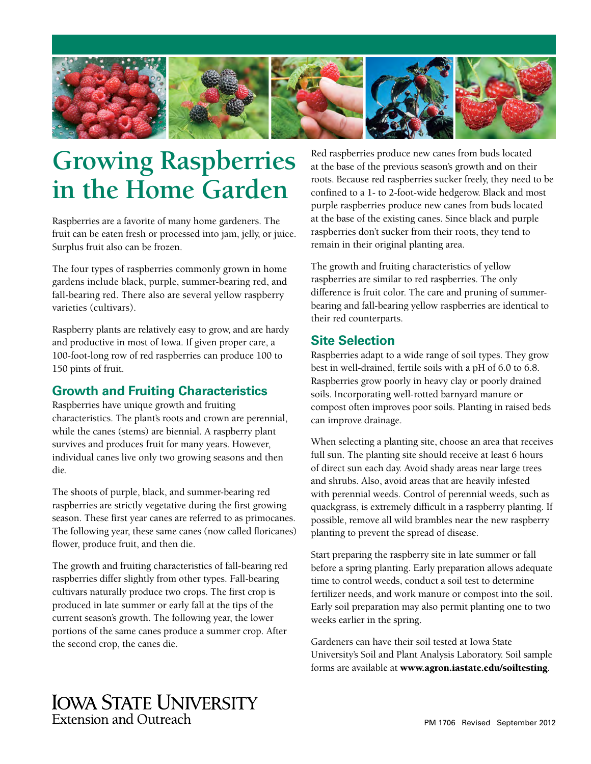

# **Growing Raspberries in the Home Garden**

Raspberries are a favorite of many home gardeners. The fruit can be eaten fresh or processed into jam, jelly, or juice. Surplus fruit also can be frozen.

The four types of raspberries commonly grown in home gardens include black, purple, summer-bearing red, and fall-bearing red. There also are several yellow raspberry varieties (cultivars).

Raspberry plants are relatively easy to grow, and are hardy and productive in most of Iowa. If given proper care, a 100-foot-long row of red raspberries can produce 100 to 150 pints of fruit.

## **Growth and Fruiting Characteristics**

Raspberries have unique growth and fruiting characteristics. The plant's roots and crown are perennial, while the canes (stems) are biennial. A raspberry plant survives and produces fruit for many years. However, individual canes live only two growing seasons and then die.

The shoots of purple, black, and summer-bearing red raspberries are strictly vegetative during the first growing season. These first year canes are referred to as primocanes. The following year, these same canes (now called floricanes) flower, produce fruit, and then die.

The growth and fruiting characteristics of fall-bearing red raspberries differ slightly from other types. Fall-bearing cultivars naturally produce two crops. The first crop is produced in late summer or early fall at the tips of the current season's growth. The following year, the lower portions of the same canes produce a summer crop. After the second crop, the canes die.

Red raspberries produce new canes from buds located at the base of the previous season's growth and on their roots. Because red raspberries sucker freely, they need to be confined to a 1- to 2-foot-wide hedgerow. Black and most purple raspberries produce new canes from buds located at the base of the existing canes. Since black and purple raspberries don't sucker from their roots, they tend to remain in their original planting area.

The growth and fruiting characteristics of yellow raspberries are similar to red raspberries. The only difference is fruit color. The care and pruning of summerbearing and fall-bearing yellow raspberries are identical to their red counterparts.

## **Site Selection**

Raspberries adapt to a wide range of soil types. They grow best in well-drained, fertile soils with a pH of 6.0 to 6.8. Raspberries grow poorly in heavy clay or poorly drained soils. Incorporating well-rotted barnyard manure or compost often improves poor soils. Planting in raised beds can improve drainage.

When selecting a planting site, choose an area that receives full sun. The planting site should receive at least 6 hours of direct sun each day. Avoid shady areas near large trees and shrubs. Also, avoid areas that are heavily infested with perennial weeds. Control of perennial weeds, such as quackgrass, is extremely difficult in a raspberry planting. If possible, remove all wild brambles near the new raspberry planting to prevent the spread of disease.

Start preparing the raspberry site in late summer or fall before a spring planting. Early preparation allows adequate time to control weeds, conduct a soil test to determine fertilizer needs, and work manure or compost into the soil. Early soil preparation may also permit planting one to two weeks earlier in the spring.

Gardeners can have their soil tested at Iowa State University's Soil and Plant Analysis Laboratory. Soil sample forms are available at www.agron.iastate.edu/soiltesting.

## **IOWA STATE UNIVERSITY Extension and Outreach**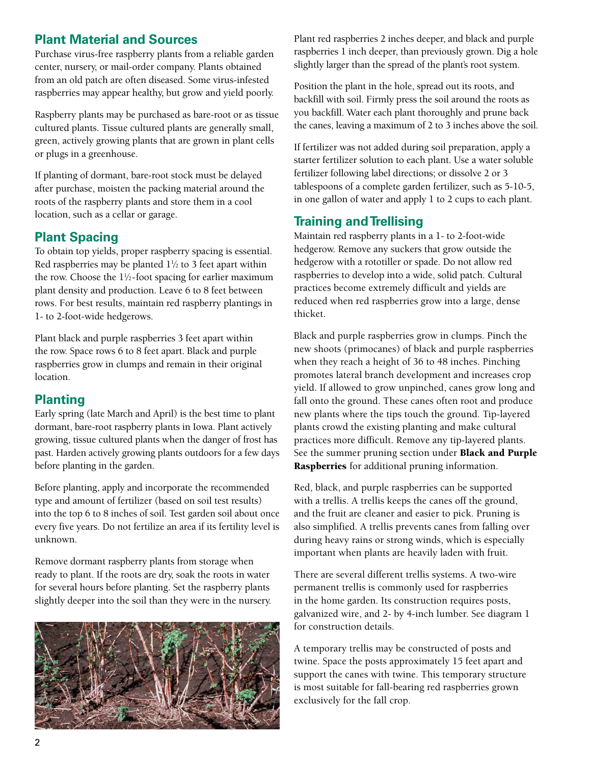## **Plant Material and Sources**

Purchase virus-free raspberry plants from a reliable garden center, nursery, or mail-order company. Plants obtained from an old patch are often diseased. Some virus-infested raspberries may appear healthy, but grow and yield poorly.

Raspberry plants may be purchased as bare-root or as tissue cultured plants. Tissue cultured plants are generally small, green, actively growing plants that are grown in plant cells or plugs in a greenhouse.

If planting of dormant, bare-root stock must be delayed after purchase, moisten the packing material around the roots of the raspberry plants and store them in a cool location, such as a cellar or garage.

## **Plant Spacing**

To obtain top yields, proper raspberry spacing is essential. Red raspberries may be planted  $1\frac{1}{2}$  to 3 feet apart within the row. Choose the  $1\frac{1}{2}$ -foot spacing for earlier maximum plant density and production. Leave 6 to 8 feet between rows. For best results, maintain red raspberry plantings in 1- to 2-foot-wide hedgerows.

Plant black and purple raspberries 3 feet apart within the row. Space rows 6 to 8 feet apart. Black and purple raspberries grow in clumps and remain in their original location.

## **Planting**

Early spring (late March and April) is the best time to plant dormant, bare-root raspberry plants in Iowa. Plant actively growing, tissue cultured plants when the danger of frost has past. Harden actively growing plants outdoors for a few days before planting in the garden.

Before planting, apply and incorporate the recommended type and amount of fertilizer (based on soil test results) into the top 6 to 8 inches of soil. Test garden soil about once every five years. Do not fertilize an area if its fertility level is unknown.

Remove dormant raspberry plants from storage when ready to plant. If the roots are dry, soak the roots in water for several hours before planting. Set the raspberry plants slightly deeper into the soil than they were in the nursery.



Plant red raspberries 2 inches deeper, and black and purple raspberries 1 inch deeper, than previously grown. Dig a hole slightly larger than the spread of the plant's root system.

Position the plant in the hole, spread out its roots, and backfill with soil. Firmly press the soil around the roots as you backfill. Water each plant thoroughly and prune back the canes, leaving a maximum of 2 to 3 inches above the soil.

If fertilizer was not added during soil preparation, apply a starter fertilizer solution to each plant. Use a water soluble fertilizer following label directions; or dissolve 2 or 3 tablespoons of a complete garden fertilizer, such as 5-10-5, in one gallon of water and apply 1 to 2 cups to each plant.

## **Training and Trellising**

Maintain red raspberry plants in a 1- to 2-foot-wide hedgerow. Remove any suckers that grow outside the hedgerow with a rototiller or spade. Do not allow red raspberries to develop into a wide, solid patch. Cultural practices become extremely difficult and yields are reduced when red raspberries grow into a large, dense thicket.

Black and purple raspberries grow in clumps. Pinch the new shoots (primocanes) of black and purple raspberries when they reach a height of 36 to 48 inches. Pinching promotes lateral branch development and increases crop yield. If allowed to grow unpinched, canes grow long and fall onto the ground. These canes often root and produce new plants where the tips touch the ground. Tip-layered plants crowd the existing planting and make cultural practices more difficult. Remove any tip-layered plants. See the summer pruning section under Black and Purple Raspberries for additional pruning information.

Red, black, and purple raspberries can be supported with a trellis. A trellis keeps the canes off the ground, and the fruit are cleaner and easier to pick. Pruning is also simplified. A trellis prevents canes from falling over during heavy rains or strong winds, which is especially important when plants are heavily laden with fruit.

There are several different trellis systems. A two-wire permanent trellis is commonly used for raspberries in the home garden. Its construction requires posts, galvanized wire, and 2- by 4-inch lumber. See diagram 1 for construction details.

A temporary trellis may be constructed of posts and twine. Space the posts approximately 15 feet apart and support the canes with twine. This temporary structure is most suitable for fall-bearing red raspberries grown exclusively for the fall crop.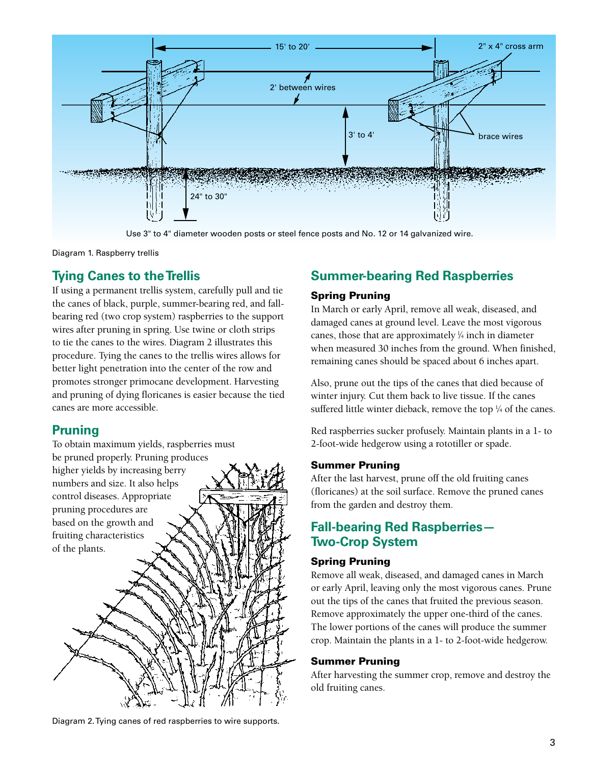

Use 3" to 4" diameter wooden posts or steel fence posts and No. 12 or 14 galvanized wire.

Diagram 1. Raspberry trellis

## **Tying Canes to the Trellis**

If using a permanent trellis system, carefully pull and tie the canes of black, purple, summer-bearing red, and fallbearing red (two crop system) raspberries to the support wires after pruning in spring. Use twine or cloth strips to tie the canes to the wires. Diagram 2 illustrates this procedure. Tying the canes to the trellis wires allows for better light penetration into the center of the row and promotes stronger primocane development. Harvesting and pruning of dying floricanes is easier because the tied canes are more accessible.

## **Pruning**

To obtain maximum yields, raspberries must be pruned properly. Pruning produces higher yields by increasing berry numbers and size. It also helps control diseases. Appropriate pruning procedures are based on the growth and fruiting characteristics of the plants.

Diagram 2. Tying canes of red raspberries to wire supports.

## **Summer-bearing Red Raspberries**

#### Spring Pruning

In March or early April, remove all weak, diseased, and damaged canes at ground level. Leave the most vigorous canes, those that are approximately  $\frac{1}{4}$  inch in diameter when measured 30 inches from the ground. When finished, remaining canes should be spaced about 6 inches apart.

Also, prune out the tips of the canes that died because of winter injury. Cut them back to live tissue. If the canes suffered little winter dieback, remove the top  $\frac{1}{4}$  of the canes.

Red raspberries sucker profusely. Maintain plants in a 1- to 2-foot-wide hedgerow using a rototiller or spade.

#### Summer Pruning

After the last harvest, prune off the old fruiting canes (floricanes) at the soil surface. Remove the pruned canes from the garden and destroy them.

## **Fall-bearing Red Raspberries— Two-Crop System**

#### Spring Pruning

Remove all weak, diseased, and damaged canes in March or early April, leaving only the most vigorous canes. Prune out the tips of the canes that fruited the previous season. Remove approximately the upper one-third of the canes. The lower portions of the canes will produce the summer crop. Maintain the plants in a 1- to 2-foot-wide hedgerow.

#### Summer Pruning

After harvesting the summer crop, remove and destroy the old fruiting canes.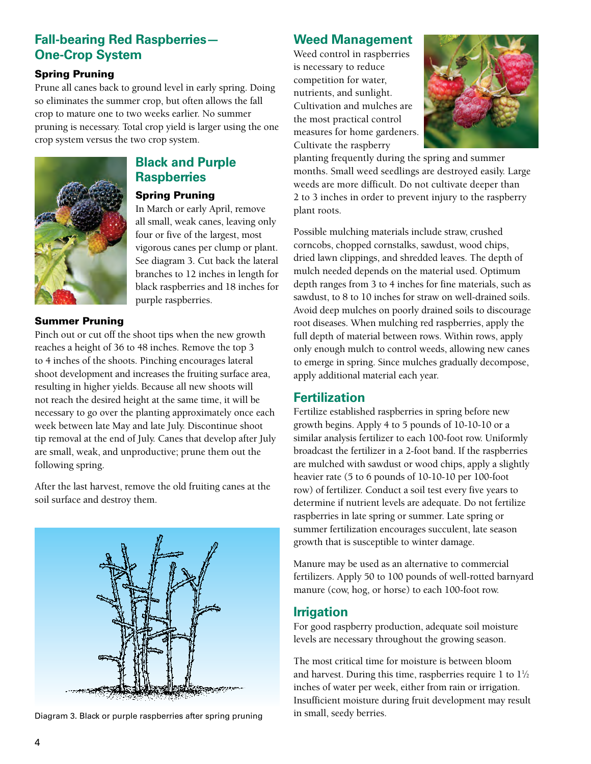## **Fall-bearing Red Raspberries— One-Crop System**

#### Spring Pruning

Prune all canes back to ground level in early spring. Doing so eliminates the summer crop, but often allows the fall crop to mature one to two weeks earlier. No summer pruning is necessary. Total crop yield is larger using the one crop system versus the two crop system.



## **Black and Purple Raspberries**

#### Spring Pruning

In March or early April, remove all small, weak canes, leaving only four or five of the largest, most vigorous canes per clump or plant. See diagram 3. Cut back the lateral branches to 12 inches in length for black raspberries and 18 inches for purple raspberries.

#### Summer Pruning

Pinch out or cut off the shoot tips when the new growth reaches a height of 36 to 48 inches. Remove the top 3 to 4 inches of the shoots. Pinching encourages lateral shoot development and increases the fruiting surface area, resulting in higher yields. Because all new shoots will not reach the desired height at the same time, it will be necessary to go over the planting approximately once each week between late May and late July. Discontinue shoot tip removal at the end of July. Canes that develop after July are small, weak, and unproductive; prune them out the following spring.

After the last harvest, remove the old fruiting canes at the soil surface and destroy them.



Diagram 3. Black or purple raspberries after spring pruning in small, seedy berries.

## **Weed Management**

Weed control in raspberries is necessary to reduce competition for water, nutrients, and sunlight. Cultivation and mulches are the most practical control measures for home gardeners. Cultivate the raspberry



planting frequently during the spring and summer months. Small weed seedlings are destroyed easily. Large weeds are more difficult. Do not cultivate deeper than 2 to 3 inches in order to prevent injury to the raspberry plant roots.

Possible mulching materials include straw, crushed corncobs, chopped cornstalks, sawdust, wood chips, dried lawn clippings, and shredded leaves. The depth of mulch needed depends on the material used. Optimum depth ranges from 3 to 4 inches for fine materials, such as sawdust, to 8 to 10 inches for straw on well-drained soils. Avoid deep mulches on poorly drained soils to discourage root diseases. When mulching red raspberries, apply the full depth of material between rows. Within rows, apply only enough mulch to control weeds, allowing new canes to emerge in spring. Since mulches gradually decompose, apply additional material each year.

## **Fertilization**

Fertilize established raspberries in spring before new growth begins. Apply 4 to 5 pounds of 10-10-10 or a similar analysis fertilizer to each 100-foot row. Uniformly broadcast the fertilizer in a 2-foot band. If the raspberries are mulched with sawdust or wood chips, apply a slightly heavier rate (5 to 6 pounds of 10-10-10 per 100-foot row) of fertilizer. Conduct a soil test every five years to determine if nutrient levels are adequate. Do not fertilize raspberries in late spring or summer. Late spring or summer fertilization encourages succulent, late season growth that is susceptible to winter damage.

Manure may be used as an alternative to commercial fertilizers. Apply 50 to 100 pounds of well-rotted barnyard manure (cow, hog, or horse) to each 100-foot row.

## **Irrigation**

For good raspberry production, adequate soil moisture levels are necessary throughout the growing season.

The most critical time for moisture is between bloom and harvest. During this time, raspberries require  $1$  to  $1\frac{1}{2}$ inches of water per week, either from rain or irrigation. Insufficient moisture during fruit development may result